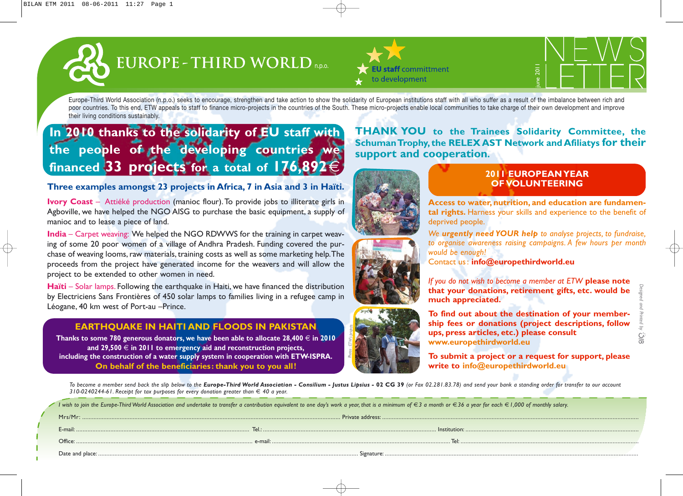# EUROPE - THIRD WORLD





Europe-Third World Association (n.p.o.) seeks to encourage, strengthen and take action to show the solidarity of European institutions staff with all who suffer as a result of the imbalance between rich and poor countries. To this end, ETW appeals to staff to finance micro-projects in the countries of the South. These micro-projects enable local communities to take charge of their own development and improve their living conditions sustainably.

# **In 2010 thanks to the solidarity of EU staff with the people of the developing countries we financed 33 projects for a total of 176,892**€

## **Three examples amongst 23 projects in Africa, 7 in Asia and 3 in Haïti.**

**Ivory Coast** – Attiéké production (manioc flour). To provide jobs to illiterate girls in Agboville, we have helped the NGO AISG to purchase the basic equipment, a supply of manioc and to lease a piece of land.

**India** – Carpet weaving: We helped the NGO RDWWS for the training in carpet weaving of some 20 poor women of a village of Andhra Pradesh. Funding covered the purchase of weaving looms, raw materials, training costs as well as some marketing help.The proceeds from the project have generated income for the weavers and will allow the project to be extended to other women in need.

**Haïti** – Solar lamps. Following the earthquake in Haiti, we have financed the distribution by Electriciens Sans Frontières of 450 solar lamps to families living in a refugee camp in Léogane, 40 km west of Port-au –Prince.

### **EARTHQUAKE IN HAITI AND FLOODS IN PAKISTAN**

**Thanks to some 780 generous donators, we have been able to allocate 28,400** € **in 2010 and 29,500** € **in 2011 to emergency aid and reconstruction projects, including the construction of a water supply system in cooperation with ETW-ISPRA. On behalf of the beneficiaries: thank you to you all!**

**THANK YOU to the Trainees Solidarity Committee, the Schuman Trophy, the RELEX AST Network and Afiliatys for their support and cooperation.**



## **2011 EUROPEAN YEAR OF VOLUNTEERING**

**Access to water, nutrition, and education are fundamental rights.** Harness your skills and experience to the benefit of deprived people.

*We urgently need YOUR help to analyse projects, to fundraise, to organise awareness raising campaigns. A few hours per month would be enough!* 

Contact us : **info@europethirdworld.eu**



*If you do not wish to become a member at ETW* **please note that your donations, retirement gifts, etc. would be much appreciated.**

**To find out about the destination of your membership fees or donations (project descriptions, follow ups, press articles, etc.) please consult www.europethirdworld.eu**

**To submit a project or a request for support, please write to info@europethirdworld.eu**

To become a member send back the slip below to the Europe-Third World Association - Consilium - Justus Lipsius - 02 CG 39 (or Fax 02.281.83.78) and send your bank a standing order for transfer to our account *310-0240244-61. Receipt for tax purposes for every donation greater than*  $\in$  40 a year.

*Photos : ETW's projects*

I wish to join the Europe-Third World Association and undertake to transfer a contribution equivalent to one day's work a year, that is a minimum of €3 a month or €36 a year for each €1,000 of monthly salary.

| Private address:<br>Mrs/Mr |       |              |
|----------------------------|-------|--------------|
| $r$ -mail $\cdot$          | Tel.: | Institution: |
| Office                     |       |              |
|                            |       |              |